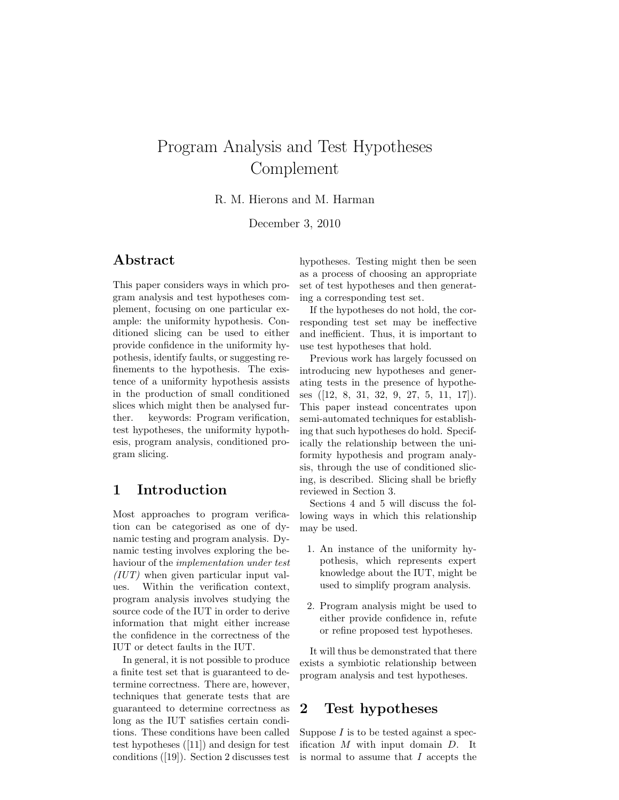# Program Analysis and Test Hypotheses Complement

R. M. Hierons and M. Harman

December 3, 2010

### Abstract

This paper considers ways in which program analysis and test hypotheses complement, focusing on one particular example: the uniformity hypothesis. Conditioned slicing can be used to either provide confidence in the uniformity hypothesis, identify faults, or suggesting refinements to the hypothesis. The existence of a uniformity hypothesis assists in the production of small conditioned slices which might then be analysed further. keywords: Program verification, test hypotheses, the uniformity hypothesis, program analysis, conditioned program slicing.

### 1 Introduction

Most approaches to program verification can be categorised as one of dynamic testing and program analysis. Dynamic testing involves exploring the behaviour of the implementation under test (IUT) when given particular input values. Within the verification context, program analysis involves studying the source code of the IUT in order to derive information that might either increase the confidence in the correctness of the IUT or detect faults in the IUT.

In general, it is not possible to produce a finite test set that is guaranteed to determine correctness. There are, however, techniques that generate tests that are guaranteed to determine correctness as long as the IUT satisfies certain conditions. These conditions have been called test hypotheses ([11]) and design for test conditions ([19]). Section 2 discusses test

hypotheses. Testing might then be seen as a process of choosing an appropriate set of test hypotheses and then generating a corresponding test set.

If the hypotheses do not hold, the corresponding test set may be ineffective and inefficient. Thus, it is important to use test hypotheses that hold.

Previous work has largely focussed on introducing new hypotheses and generating tests in the presence of hypotheses ([12, 8, 31, 32, 9, 27, 5, 11, 17]). This paper instead concentrates upon semi-automated techniques for establishing that such hypotheses do hold. Specifically the relationship between the uniformity hypothesis and program analysis, through the use of conditioned slicing, is described. Slicing shall be briefly reviewed in Section 3.

Sections 4 and 5 will discuss the following ways in which this relationship may be used.

- 1. An instance of the uniformity hypothesis, which represents expert knowledge about the IUT, might be used to simplify program analysis.
- 2. Program analysis might be used to either provide confidence in, refute or refine proposed test hypotheses.

It will thus be demonstrated that there exists a symbiotic relationship between program analysis and test hypotheses.

#### 2 Test hypotheses

Suppose  $I$  is to be tested against a specification  $M$  with input domain  $D$ . It is normal to assume that I accepts the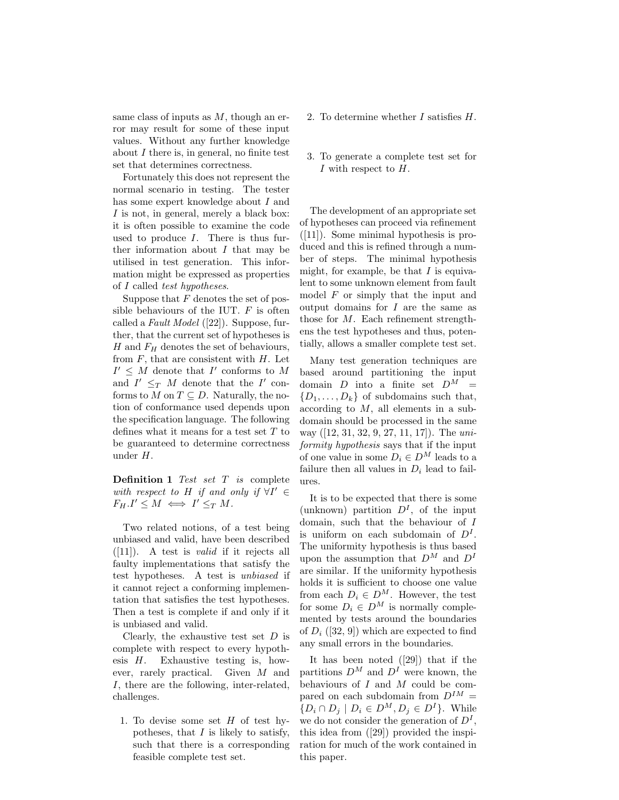same class of inputs as  $M$ , though an error may result for some of these input values. Without any further knowledge about  $I$  there is, in general, no finite test set that determines correctness.

Fortunately this does not represent the normal scenario in testing. The tester has some expert knowledge about I and I is not, in general, merely a black box: it is often possible to examine the code used to produce  $I$ . There is thus further information about  $I$  that may be utilised in test generation. This information might be expressed as properties of I called test hypotheses.

Suppose that  $F$  denotes the set of possible behaviours of the IUT.  $F$  is often called a Fault Model ([22]). Suppose, further, that the current set of hypotheses is H and  $F_H$  denotes the set of behaviours, from  $F$ , that are consistent with  $H$ . Let  $I' \leq M$  denote that  $I'$  conforms to M and  $I' \leq_T M$  denote that the  $I'$  conforms to M on  $T \subseteq D$ . Naturally, the notion of conformance used depends upon the specification language. The following defines what it means for a test set  $T$  to be guaranteed to determine correctness under H.

**Definition 1** Test set  $T$  is complete with respect to H if and only if  $\forall I' \in$  $F_H.I' \leq M \iff I' \leq_T M.$ 

Two related notions, of a test being unbiased and valid, have been described  $([11])$ . A test is *valid* if it rejects all faulty implementations that satisfy the test hypotheses. A test is unbiased if it cannot reject a conforming implementation that satisfies the test hypotheses. Then a test is complete if and only if it is unbiased and valid.

Clearly, the exhaustive test set  $D$  is complete with respect to every hypothesis  $H$ . Exhaustive testing is, however, rarely practical. Given M and I, there are the following, inter-related, challenges.

1. To devise some set  $H$  of test hypotheses, that  $I$  is likely to satisfy, such that there is a corresponding feasible complete test set.

- 2. To determine whether  $I$  satisfies  $H$ .
- 3. To generate a complete test set for I with respect to  $H$ .

The development of an appropriate set of hypotheses can proceed via refinement ([11]). Some minimal hypothesis is produced and this is refined through a number of steps. The minimal hypothesis might, for example, be that  $I$  is equivalent to some unknown element from fault model  $F$  or simply that the input and output domains for  $I$  are the same as those for M. Each refinement strengthens the test hypotheses and thus, potentially, allows a smaller complete test set.

Many test generation techniques are based around partitioning the input domain D into a finite set  $D^M$  =  $\{D_1, \ldots, D_k\}$  of subdomains such that, according to M, all elements in a subdomain should be processed in the same way ([12, 31, 32, 9, 27, 11, 17]). The uniformity hypothesis says that if the input of one value in some  $D_i \in D^M$  leads to a failure then all values in  $D_i$  lead to failures.

It is to be expected that there is some (unknown) partition  $D<sup>I</sup>$ , of the input domain, such that the behaviour of I is uniform on each subdomain of  $D<sup>I</sup>$ . The uniformity hypothesis is thus based upon the assumption that  $D^M$  and  $D^I$ are similar. If the uniformity hypothesis holds it is sufficient to choose one value from each  $D_i \in D^M$ . However, the test for some  $D_i \in D^M$  is normally complemented by tests around the boundaries of  $D_i$  ([32, 9]) which are expected to find any small errors in the boundaries.

It has been noted ([29]) that if the partitions  $D^M$  and  $D^I$  were known, the behaviours of  $I$  and  $M$  could be compared on each subdomain from  $D^{IM} =$  $\{D_i \cap D_j \mid D_i \in D^M, D_j \in D^I\}.$  While we do not consider the generation of  $D<sup>I</sup>$ , this idea from ([29]) provided the inspiration for much of the work contained in this paper.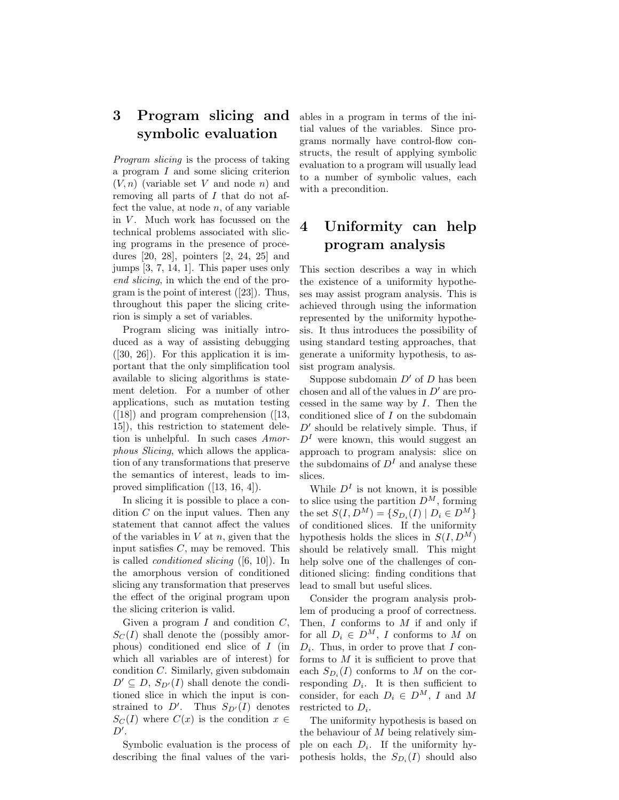### 3 Program slicing and symbolic evaluation

Program slicing is the process of taking a program  $I$  and some slicing criterion  $(V, n)$  (variable set V and node n) and removing all parts of I that do not affect the value, at node  $n$ , of any variable in  $V$ . Much work has focussed on the technical problems associated with slicing programs in the presence of procedures [20, 28], pointers [2, 24, 25] and jumps [3, 7, 14, 1]. This paper uses only end slicing, in which the end of the program is the point of interest ([23]). Thus, throughout this paper the slicing criterion is simply a set of variables.

Program slicing was initially introduced as a way of assisting debugging  $([30, 26])$ . For this application it is important that the only simplification tool available to slicing algorithms is statement deletion. For a number of other applications, such as mutation testing  $([18])$  and program comprehension  $([13,$ 15]), this restriction to statement deletion is unhelpful. In such cases Amorphous Slicing, which allows the application of any transformations that preserve the semantics of interest, leads to improved simplification ([13, 16, 4]).

In slicing it is possible to place a condition C on the input values. Then any statement that cannot affect the values of the variables in  $V$  at  $n$ , given that the input satisfies  $C$ , may be removed. This is called *conditioned slicing*  $([6, 10])$ . In the amorphous version of conditioned slicing any transformation that preserves the effect of the original program upon the slicing criterion is valid.

Given a program  $I$  and condition  $C$ ,  $S<sub>C</sub>(I)$  shall denote the (possibly amorphous) conditioned end slice of I (in which all variables are of interest) for condition C. Similarly, given subdomain  $D' \subseteq D$ ,  $S_{D'}(I)$  shall denote the conditioned slice in which the input is constrained to  $D'$ . Thus  $S_{D'}(I)$  denotes  $S<sub>C</sub>(I)$  where  $C(x)$  is the condition  $x \in$  $D^{\prime}$ .

Symbolic evaluation is the process of describing the final values of the variables in a program in terms of the initial values of the variables. Since programs normally have control-flow constructs, the result of applying symbolic evaluation to a program will usually lead to a number of symbolic values, each with a precondition.

## 4 Uniformity can help program analysis

This section describes a way in which the existence of a uniformity hypotheses may assist program analysis. This is achieved through using the information represented by the uniformity hypothesis. It thus introduces the possibility of using standard testing approaches, that generate a uniformity hypothesis, to assist program analysis.

Suppose subdomain  $D'$  of D has been chosen and all of the values in  $D'$  are processed in the same way by  $I$ . Then the conditioned slice of I on the subdomain  $D'$  should be relatively simple. Thus, if  $D<sup>I</sup>$  were known, this would suggest an approach to program analysis: slice on the subdomains of  $D<sup>I</sup>$  and analyse these slices.

While  $D<sup>I</sup>$  is not known, it is possible to slice using the partition  $D^M$ , forming the set  $S(I, D^M) = \{S_{D_i}(I) | D_i \in D^M\}$ of conditioned slices. If the uniformity hypothesis holds the slices in  $S(I, D^M)$ should be relatively small. This might help solve one of the challenges of conditioned slicing: finding conditions that lead to small but useful slices.

Consider the program analysis problem of producing a proof of correctness. Then,  $I$  conforms to  $M$  if and only if for all  $D_i \in D^M$ , I conforms to M on  $D_i$ . Thus, in order to prove that I conforms to  $M$  it is sufficient to prove that each  $S_{D_i}(I)$  conforms to M on the corresponding  $D_i$ . It is then sufficient to consider, for each  $D_i \in D^M$ , I and M restricted to  $D_i$ .

The uniformity hypothesis is based on the behaviour of  $M$  being relatively simple on each  $D_i$ . If the uniformity hypothesis holds, the  $S_{D_i}(I)$  should also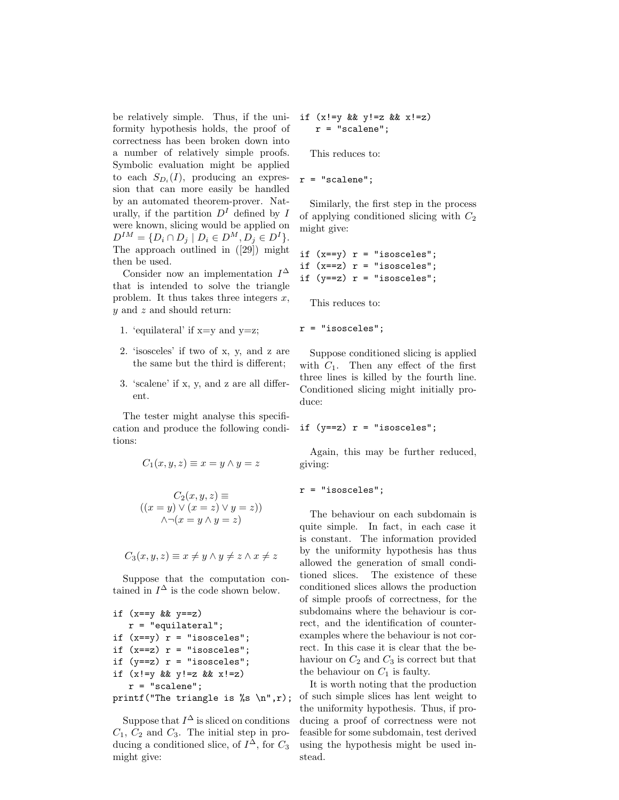be relatively simple. Thus, if the uniformity hypothesis holds, the proof of correctness has been broken down into a number of relatively simple proofs. Symbolic evaluation might be applied to each  $S_{D_i}(I)$ , producing an expression that can more easily be handled by an automated theorem-prover. Naturally, if the partition  $D<sup>I</sup>$  defined by I were known, slicing would be applied on  $D^{IM} = \{D_i \cap D_j \mid D_i \in D^M, D_j \in D^I\}.$ The approach outlined in ([29]) might then be used.

Consider now an implementation  $I^{\Delta}$ that is intended to solve the triangle problem. It thus takes three integers  $x$ ,  $y$  and  $z$  and should return:

- 1. 'equilateral' if x=y and y=z;
- 2. 'isosceles' if two of x, y, and z are the same but the third is different;
- 3. 'scalene' if x, y, and z are all different.

The tester might analyse this specification and produce the following conditions:

$$
C_1(x, y, z) \equiv x = y \land y = z
$$

$$
C_2(x, y, z) \equiv
$$
  

$$
((x = y) \lor (x = z) \lor y = z))
$$
  

$$
\land \neg(x = y \land y = z)
$$

$$
C_3(x, y, z) \equiv x \neq y \land y \neq z \land x \neq z
$$

Suppose that the computation contained in  $I^{\Delta}$  is the code shown below.

```
if (x==y && y==z)
r = "equilateral";if (x==y) r = "isosceles";if (x==z) r = "isosceles";if (y==z) r = "isosceles";if (x!=y \&& y!=z \&& x!=z)r = "scalene";
```

```
printf("The triangle is %s \n",r);
```
Suppose that  $I^{\Delta}$  is sliced on conditions  $C_1$ ,  $C_2$  and  $C_3$ . The initial step in producing a conditioned slice, of  $I^{\Delta}$ , for  $C_3$ might give:

if  $(x! = y \&& y! = z \&& x! = z)$  $r = "scalene";$ 

This reduces to:

 $r = "scalene";$ 

Similarly, the first step in the process of applying conditioned slicing with  $C_2$ might give:

```
if (x==y) r = "isosceles";if (x==z) r = "isosceles";if (y==z) r = "isosceles";
```
This reduces to:

$$
r = "isosceles";
$$

Suppose conditioned slicing is applied with  $C_1$ . Then any effect of the first three lines is killed by the fourth line. Conditioned slicing might initially produce:

if  $(y==z)$   $r = "isosceles";$ 

Again, this may be further reduced, giving:

r = "isosceles";

The behaviour on each subdomain is quite simple. In fact, in each case it is constant. The information provided by the uniformity hypothesis has thus allowed the generation of small conditioned slices. The existence of these conditioned slices allows the production of simple proofs of correctness, for the subdomains where the behaviour is correct, and the identification of counterexamples where the behaviour is not correct. In this case it is clear that the behaviour on  $C_2$  and  $C_3$  is correct but that the behaviour on  $C_1$  is faulty.

It is worth noting that the production of such simple slices has lent weight to the uniformity hypothesis. Thus, if producing a proof of correctness were not feasible for some subdomain, test derived using the hypothesis might be used instead.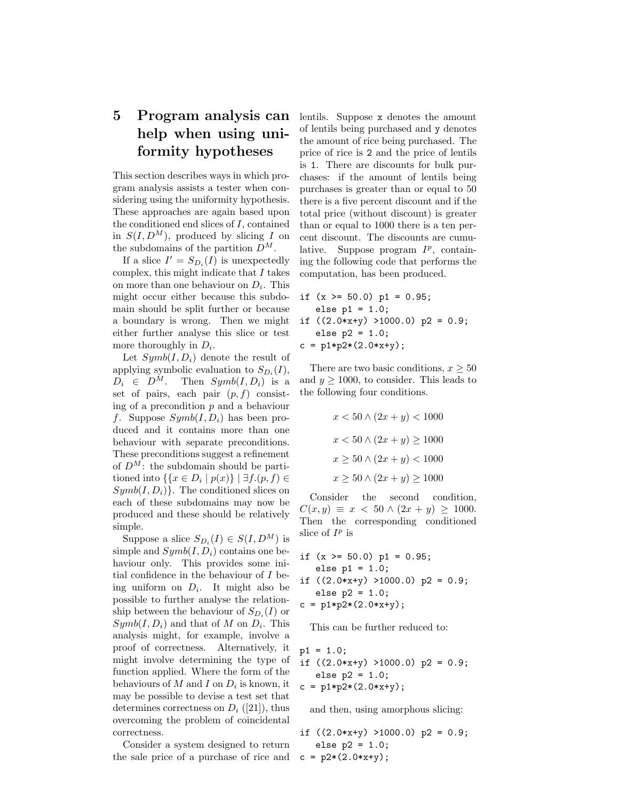# 5 Program analysis can help when using uniformity hypotheses

This section describes ways in which program analysis assists a tester when considering using the uniformity hypothesis. These approaches are again based upon the conditioned end slices of I, contained in  $S(I, D^M)$ , produced by slicing I on the subdomains of the partition  $D^M$ .

If a slice  $I' = S_{D_i}(I)$  is unexpectedly complex, this might indicate that  $I$  takes on more than one behaviour on  $D_i$ . This might occur either because this subdomain should be split further or because a boundary is wrong. Then we might either further analyse this slice or test more thoroughly in  $D_i$ .

Let  $Symb(I, D_i)$  denote the result of applying symbolic evaluation to  $S_{D_i}(I)$ ,  $D_i \in D^M$ . Then  $Symb(I, D_i)$  is a set of pairs, each pair  $(p, f)$  consisting of a precondition  $p$  and a behaviour f. Suppose  $Symb(I, D_i)$  has been produced and it contains more than one behaviour with separate preconditions. These preconditions suggest a refinement of  $D^M$ : the subdomain should be partitioned into  $\{x \in D_i \mid p(x)\} \mid \exists f.(p, f) \in$  $Symb(I, D_i)$ . The conditioned slices on each of these subdomains may now be produced and these should be relatively simple.

Suppose a slice  $S_{D_i}(I) \in S(I, D^M)$  is simple and  $Symb(I, D_i)$  contains one behaviour only. This provides some initial confidence in the behaviour of I being uniform on  $D_i$ . It might also be possible to further analyse the relationship between the behaviour of  $S_{D_i}(I)$  or  $Symb(I, D_i)$  and that of M on  $D_i$ . This analysis might, for example, involve a proof of correctness. Alternatively, it might involve determining the type of function applied. Where the form of the behaviours of  $M$  and  $I$  on  $D_i$  is known, it may be possible to devise a test set that determines correctness on  $D_i$  ([21]), thus overcoming the problem of coincidental correctness.

Consider a system designed to return the sale price of a purchase of rice and

lentils. Suppose x denotes the amount of lentils being purchased and y denotes the amount of rice being purchased. The price of rice is 2 and the price of lentils is 1. There are discounts for bulk purchases: if the amount of lentils being purchases is greater than or equal to 50 there is a five percent discount and if the total price (without discount) is greater than or equal to 1000 there is a ten percent discount. The discounts are cumulative. Suppose program  $I^p$ , containing the following code that performs the computation, has been produced.

if (x >= 50.0) p1 = 0.95; else p1 = 1.0; if ((2.0\*x+y) >1000.0) p2 = 0.9; else p2 = 1.0; c = p1\*p2\*(2.0\*x+y);

There are two basic conditions,  $x \geq 50$ and  $y \ge 1000$ , to consider. This leads to the following four conditions.

$$
x < 50 \land (2x + y) < 1000
$$
\n
$$
x < 50 \land (2x + y) \ge 1000
$$
\n
$$
x \ge 50 \land (2x + y) < 1000
$$
\n
$$
x \ge 50 \land (2x + y) \ge 1000
$$

Consider the second condition,  $C(x, y) \equiv x < 50 \land (2x + y) > 1000.$ Then the corresponding conditioned slice of  $I^p$  is

if  $(x \ge 50.0)$  p1 = 0.95;  $else$  p1 = 1.0; if  $((2.0*x+y) > 1000.0) p2 = 0.9;$ else  $p2 = 1.0$ ;  $c = p1*p2*(2.0*x+y);$ 

This can be further reduced to:

$$
p1 = 1.0;
$$
  
if ((2.0\*xy) >1000.0)  $p2 = 0.9;$   
else  $p2 = 1.0;$   
c =  $p1*p2*(2.0*x+y);$ 

and then, using amorphous slicing:

if ((2.0\*x+y) >1000.0) p2 = 0.9; else p2 = 1.0; c = p2\*(2.0\*x+y);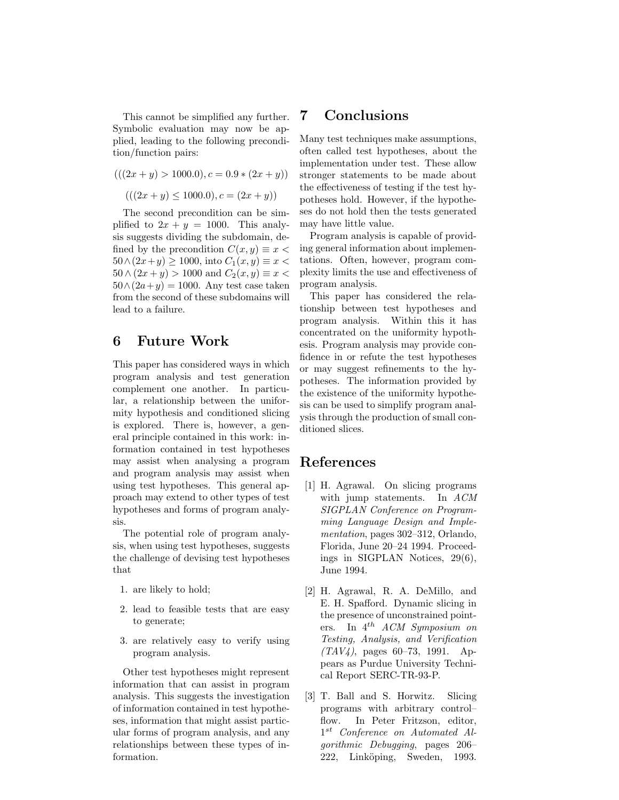This cannot be simplified any further. Symbolic evaluation may now be applied, leading to the following precondition/function pairs:

$$
(((2x + y) > 1000.0), c = 0.9 * (2x + y))
$$

 $(((2x+y) \le 1000.0), c = (2x+y))$ 

The second precondition can be simplified to  $2x + y = 1000$ . This analysis suggests dividing the subdomain, defined by the precondition  $C(x, y) \equiv x$  $50 \wedge (2x+y) \ge 1000$ , into  $C_1(x,y) \equiv x$  $50 \wedge (2x + y) > 1000$  and  $C_2(x, y) \equiv x$  $50 \wedge (2a+y) = 1000$ . Any test case taken from the second of these subdomains will lead to a failure.

#### 6 Future Work

This paper has considered ways in which program analysis and test generation complement one another. In particular, a relationship between the uniformity hypothesis and conditioned slicing is explored. There is, however, a general principle contained in this work: information contained in test hypotheses may assist when analysing a program and program analysis may assist when using test hypotheses. This general approach may extend to other types of test hypotheses and forms of program analysis.

The potential role of program analysis, when using test hypotheses, suggests the challenge of devising test hypotheses that

- 1. are likely to hold;
- 2. lead to feasible tests that are easy to generate;
- 3. are relatively easy to verify using program analysis.

Other test hypotheses might represent information that can assist in program analysis. This suggests the investigation of information contained in test hypotheses, information that might assist particular forms of program analysis, and any relationships between these types of information.

#### 7 Conclusions

Many test techniques make assumptions, often called test hypotheses, about the implementation under test. These allow stronger statements to be made about the effectiveness of testing if the test hypotheses hold. However, if the hypotheses do not hold then the tests generated may have little value.

Program analysis is capable of providing general information about implementations. Often, however, program complexity limits the use and effectiveness of program analysis.

This paper has considered the relationship between test hypotheses and program analysis. Within this it has concentrated on the uniformity hypothesis. Program analysis may provide confidence in or refute the test hypotheses or may suggest refinements to the hypotheses. The information provided by the existence of the uniformity hypothesis can be used to simplify program analysis through the production of small conditioned slices.

### References

- [1] H. Agrawal. On slicing programs with jump statements. In ACM SIGPLAN Conference on Programming Language Design and Implementation, pages 302–312, Orlando, Florida, June 20–24 1994. Proceedings in SIGPLAN Notices, 29(6), June 1994.
- [2] H. Agrawal, R. A. DeMillo, and E. H. Spafford. Dynamic slicing in the presence of unconstrained pointers. In  $4^{th}$  ACM Symposium on Testing, Analysis, and Verification  $(TAV4)$ , pages 60–73, 1991. Appears as Purdue University Technical Report SERC-TR-93-P.
- [3] T. Ball and S. Horwitz. Slicing programs with arbitrary control– flow. In Peter Fritzson, editor, 1<sup>st</sup> Conference on Automated Algorithmic Debugging, pages 206– 222, Linköping, Sweden, 1993.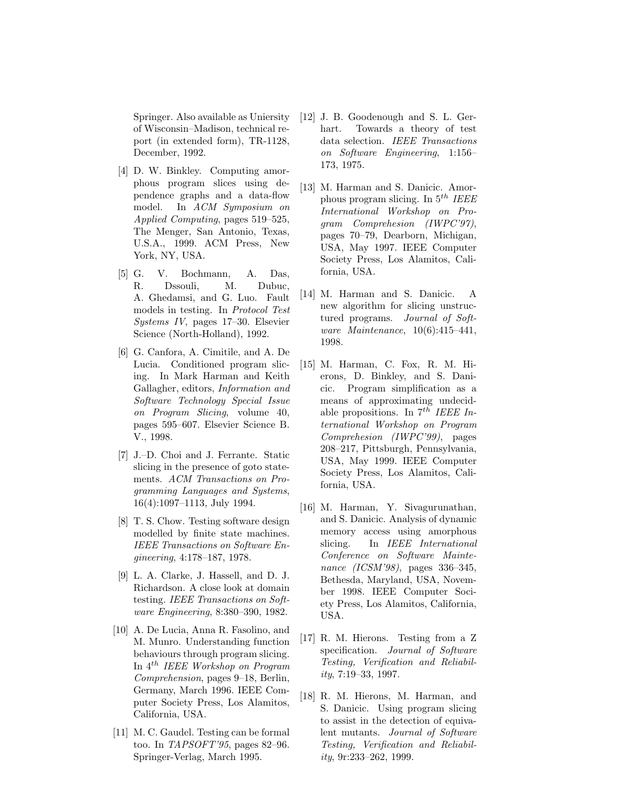Springer. Also available as Uniersity of Wisconsin–Madison, technical report (in extended form), TR-1128, December, 1992.

- [4] D. W. Binkley. Computing amorphous program slices using dependence graphs and a data-flow model. In ACM Symposium on Applied Computing, pages 519–525, The Menger, San Antonio, Texas, U.S.A., 1999. ACM Press, New York, NY, USA.
- [5] G. V. Bochmann, A. Das, R. Dssouli, M. Dubuc, A. Ghedamsi, and G. Luo. Fault models in testing. In Protocol Test Systems IV, pages 17–30. Elsevier Science (North-Holland), 1992.
- [6] G. Canfora, A. Cimitile, and A. De Lucia. Conditioned program slicing. In Mark Harman and Keith Gallagher, editors, Information and Software Technology Special Issue on Program Slicing, volume 40, pages 595–607. Elsevier Science B. V., 1998.
- [7] J.–D. Choi and J. Ferrante. Static slicing in the presence of goto statements. ACM Transactions on Programming Languages and Systems, 16(4):1097–1113, July 1994.
- [8] T. S. Chow. Testing software design modelled by finite state machines. IEEE Transactions on Software Engineering, 4:178–187, 1978.
- [9] L. A. Clarke, J. Hassell, and D. J. Richardson. A close look at domain testing. IEEE Transactions on Software Engineering, 8:380–390, 1982.
- [10] A. De Lucia, Anna R. Fasolino, and M. Munro. Understanding function behaviours through program slicing. In 4th IEEE Workshop on Program Comprehension, pages 9–18, Berlin, Germany, March 1996. IEEE Computer Society Press, Los Alamitos, California, USA.
- [11] M. C. Gaudel. Testing can be formal too. In  $TAPSOFT'95$ , pages 82–96. Springer-Verlag, March 1995.
- [12] J. B. Goodenough and S. L. Gerhart. Towards a theory of test data selection. IEEE Transactions on Software Engineering, 1:156– 173, 1975.
- [13] M. Harman and S. Danicic. Amorphous program slicing. In  $5^{th}$  IEEE International Workshop on Program Comprehesion (IWPC'97), pages 70–79, Dearborn, Michigan, USA, May 1997. IEEE Computer Society Press, Los Alamitos, California, USA.
- [14] M. Harman and S. Danicic. A new algorithm for slicing unstructured programs. Journal of Software Maintenance, 10(6):415–441, 1998.
- [15] M. Harman, C. Fox, R. M. Hierons, D. Binkley, and S. Danicic. Program simplification as a means of approximating undecidable propositions. In  $7^{th}$  IEEE International Workshop on Program Comprehesion (IWPC'99), pages 208–217, Pittsburgh, Pennsylvania, USA, May 1999. IEEE Computer Society Press, Los Alamitos, California, USA.
- [16] M. Harman, Y. Sivagurunathan, and S. Danicic. Analysis of dynamic memory access using amorphous slicing. In IEEE International Conference on Software Maintenance (ICSM'98), pages 336–345, Bethesda, Maryland, USA, November 1998. IEEE Computer Society Press, Los Alamitos, California, USA.
- [17] R. M. Hierons. Testing from a Z specification. Journal of Software Testing, Verification and Reliability, 7:19–33, 1997.
- [18] R. M. Hierons, M. Harman, and S. Danicic. Using program slicing to assist in the detection of equivalent mutants. Journal of Software Testing, Verification and Reliability, 9r:233–262, 1999.